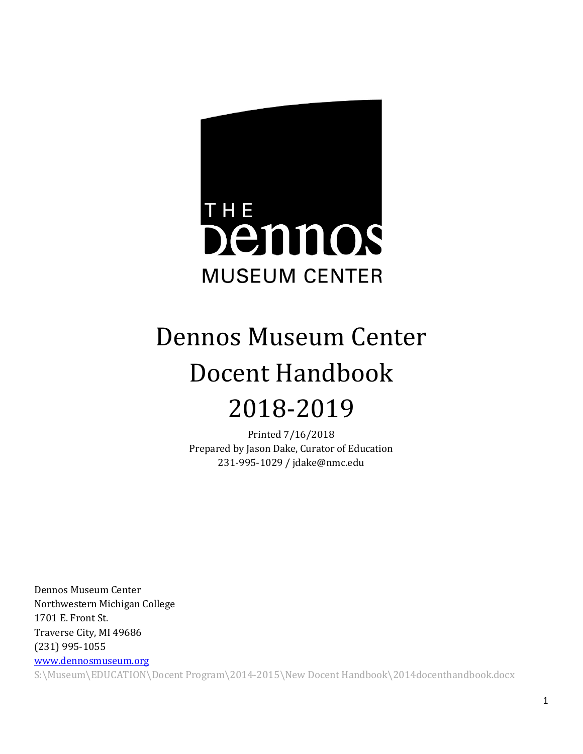

# Dennos Museum Center Docent Handbook 2018-2019

Printed 7/16/2018 Prepared by Jason Dake, Curator of Education 231-995-1029 / jdake@nmc.edu

Dennos Museum Center Northwestern Michigan College 1701 E. Front St. Traverse City, MI 49686 (231) 995-1055

[www.dennosmuseum.org](http://www.dennosmuseum.org/)

S:\Museum\EDUCATION\Docent Program\2014-2015\New Docent Handbook\2014docenthandbook.docx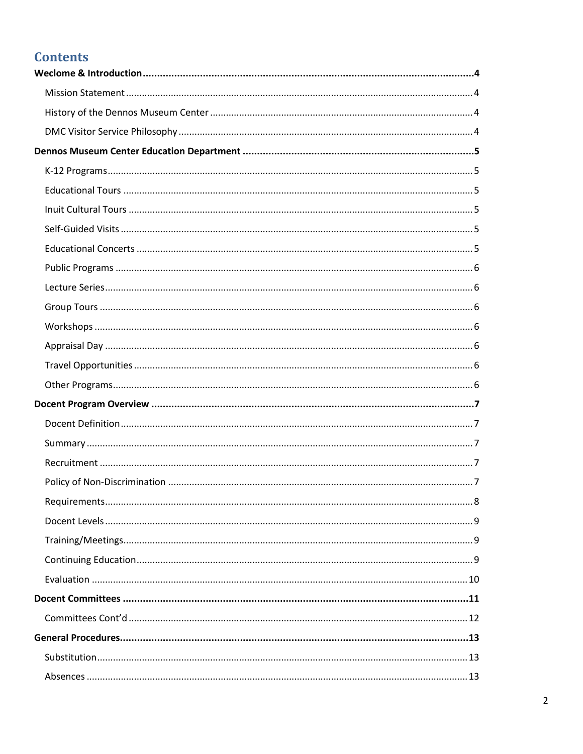# **Contents**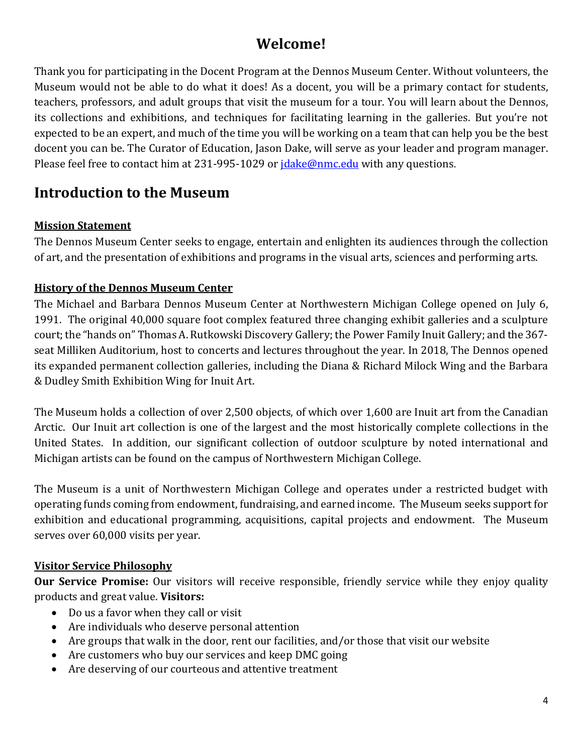# **Welcome!**

Thank you for participating in the Docent Program at the Dennos Museum Center. Without volunteers, the Museum would not be able to do what it does! As a docent, you will be a primary contact for students, teachers, professors, and adult groups that visit the museum for a tour. You will learn about the Dennos, its collections and exhibitions, and techniques for facilitating learning in the galleries. But you're not expected to be an expert, and much of the time you will be working on a team that can help you be the best docent you can be. The Curator of Education, Jason Dake, will serve as your leader and program manager. Please feel free to contact him at 231-995-1029 or *jdake@nmc.edu* with any questions.

# <span id="page-3-0"></span>**Introduction to the Museum**

## <span id="page-3-1"></span>**Mission Statement**

The Dennos Museum Center seeks to engage, entertain and enlighten its audiences through the collection of art, and the presentation of exhibitions and programs in the visual arts, sciences and performing arts.

## <span id="page-3-2"></span>**History of the Dennos Museum Center**

The Michael and Barbara Dennos Museum Center at Northwestern Michigan College opened on July 6, 1991. The original 40,000 square foot complex featured three changing exhibit galleries and a sculpture court; the "hands on" Thomas A. Rutkowski Discovery Gallery; the Power Family Inuit Gallery; and the 367 seat Milliken Auditorium, host to concerts and lectures throughout the year. In 2018, The Dennos opened its expanded permanent collection galleries, including the Diana & Richard Milock Wing and the Barbara & Dudley Smith Exhibition Wing for Inuit Art.

The Museum holds a collection of over 2,500 objects, of which over 1,600 are Inuit art from the Canadian Arctic. Our Inuit art collection is one of the largest and the most historically complete collections in the United States. In addition, our significant collection of outdoor sculpture by noted international and Michigan artists can be found on the campus of Northwestern Michigan College.

The Museum is a unit of Northwestern Michigan College and operates under a restricted budget with operating funds coming from endowment, fundraising, and earned income. The Museum seeks support for exhibition and educational programming, acquisitions, capital projects and endowment. The Museum serves over 60,000 visits per year.

## <span id="page-3-3"></span>**Visitor Service Philosophy**

**Our Service Promise:** Our visitors will receive responsible, friendly service while they enjoy quality products and great value. **Visitors:**

- Do us a favor when they call or visit
- Are individuals who deserve personal attention
- Are groups that walk in the door, rent our facilities, and/or those that visit our website
- Are customers who buy our services and keep DMC going
- Are deserving of our courteous and attentive treatment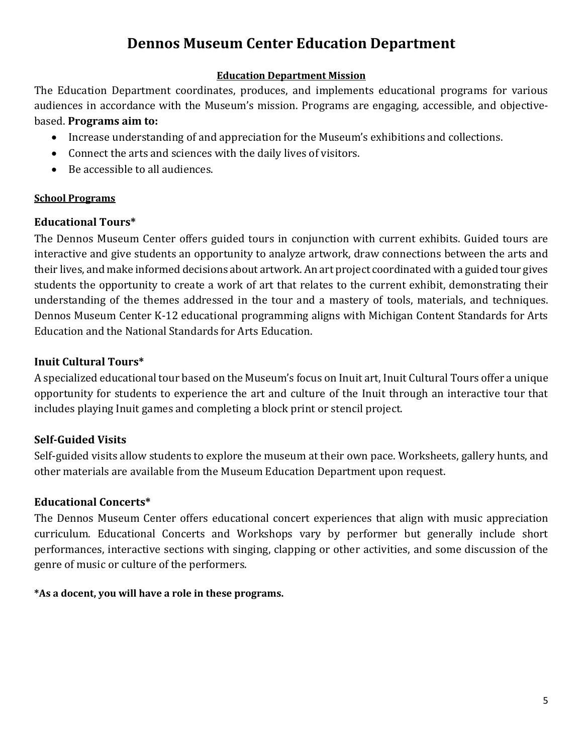# **Dennos Museum Center Education Department**

#### **Education Department Mission**

<span id="page-4-0"></span>The Education Department coordinates, produces, and implements educational programs for various audiences in accordance with the Museum's mission. Programs are engaging, accessible, and objectivebased. **Programs aim to:**

- Increase understanding of and appreciation for the Museum's exhibitions and collections.
- Connect the arts and sciences with the daily lives of visitors.
- Be accessible to all audiences.

#### **School Programs**

## <span id="page-4-1"></span>**Educational Tours\***

The Dennos Museum Center offers guided tours in conjunction with current exhibits. Guided tours are interactive and give students an opportunity to analyze artwork, draw connections between the arts and their lives, and make informed decisions about artwork. An art project coordinated with a guided tour gives students the opportunity to create a work of art that relates to the current exhibit, demonstrating their understanding of the themes addressed in the tour and a mastery of tools, materials, and techniques. Dennos Museum Center K-12 educational programming aligns with Michigan Content Standards for Arts Education and the National Standards for Arts Education.

## <span id="page-4-2"></span>**Inuit Cultural Tours\***

A specialized educational tour based on the Museum's focus on Inuit art, Inuit Cultural Tours offer a unique opportunity for students to experience the art and culture of the Inuit through an interactive tour that includes playing Inuit games and completing a block print or stencil project.

## <span id="page-4-3"></span>**Self-Guided Visits**

Self-guided visits allow students to explore the museum at their own pace. Worksheets, gallery hunts, and other materials are available from the Museum Education Department upon request.

## <span id="page-4-4"></span>**Educational Concerts\***

The Dennos Museum Center offers educational concert experiences that align with music appreciation curriculum. Educational Concerts and Workshops vary by performer but generally include short performances, interactive sections with singing, clapping or other activities, and some discussion of the genre of music or culture of the performers.

## **\*As a docent, you will have a role in these programs.**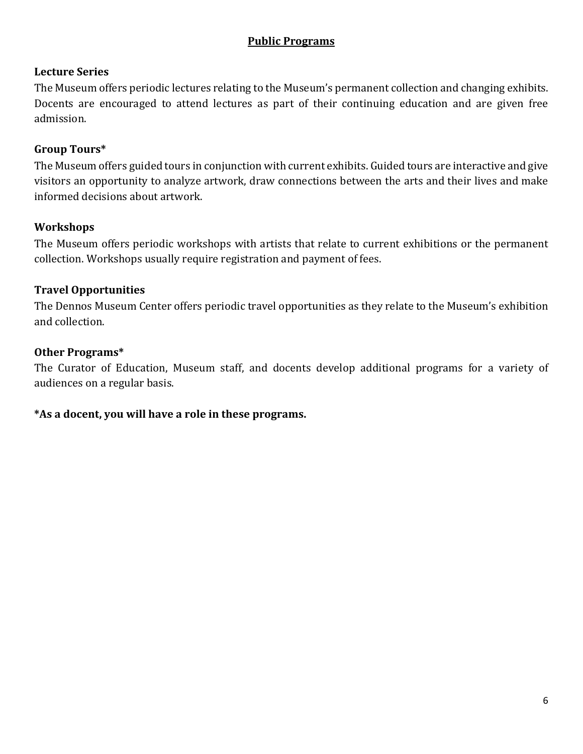#### **Public Programs**

## <span id="page-5-0"></span>**Lecture Series**

The Museum offers periodic lectures relating to the Museum's permanent collection and changing exhibits. Docents are encouraged to attend lectures as part of their continuing education and are given free admission.

#### <span id="page-5-1"></span>**Group Tours\***

The Museum offers guided tours in conjunction with current exhibits. Guided tours are interactive and give visitors an opportunity to analyze artwork, draw connections between the arts and their lives and make informed decisions about artwork.

#### <span id="page-5-2"></span>**Workshops**

The Museum offers periodic workshops with artists that relate to current exhibitions or the permanent collection. Workshops usually require registration and payment of fees.

## <span id="page-5-3"></span>**Travel Opportunities**

The Dennos Museum Center offers periodic travel opportunities as they relate to the Museum's exhibition and collection.

#### **Other Programs\***

The Curator of Education, Museum staff, and docents develop additional programs for a variety of audiences on a regular basis.

#### **\*As a docent, you will have a role in these programs.**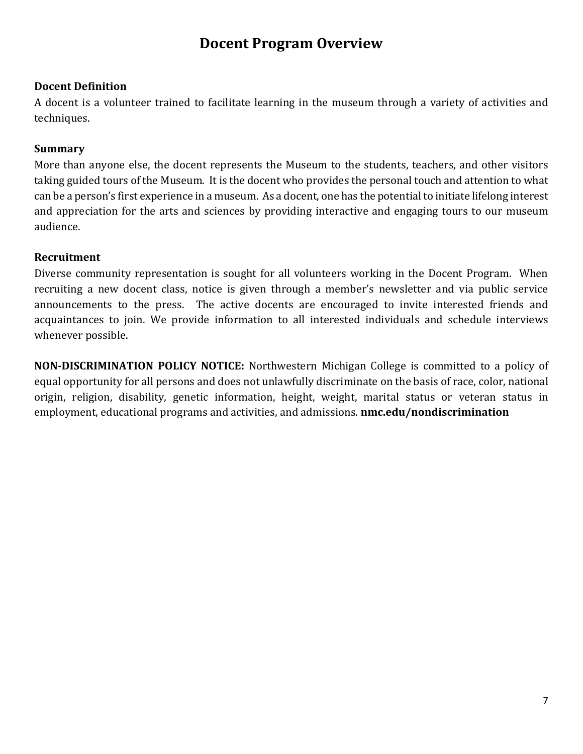# **Docent Program Overview**

#### <span id="page-6-0"></span>**Docent Definition**

A docent is a volunteer trained to facilitate learning in the museum through a variety of activities and techniques.

#### <span id="page-6-1"></span>**Summary**

More than anyone else, the docent represents the Museum to the students, teachers, and other visitors taking guided tours of the Museum. It is the docent who provides the personal touch and attention to what can be a person's first experience in a museum. As a docent, one has the potential to initiate lifelong interest and appreciation for the arts and sciences by providing interactive and engaging tours to our museum audience.

#### <span id="page-6-2"></span>**Recruitment**

Diverse community representation is sought for all volunteers working in the Docent Program. When recruiting a new docent class, notice is given through a member's newsletter and via public service announcements to the press. The active docents are encouraged to invite interested friends and acquaintances to join. We provide information to all interested individuals and schedule interviews whenever possible.

**NON-DISCRIMINATION POLICY NOTICE:** Northwestern Michigan College is committed to a policy of equal opportunity for all persons and does not unlawfully discriminate on the basis of race, color, national origin, religion, disability, genetic information, height, weight, marital status or veteran status in employment, educational programs and activities, and admissions. **nmc.edu/nondiscrimination**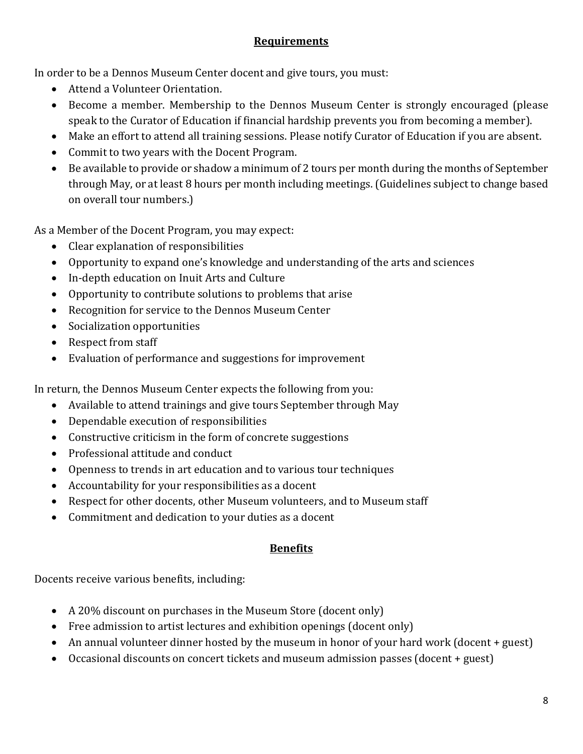## **Requirements**

In order to be a Dennos Museum Center docent and give tours, you must:

- Attend a Volunteer Orientation.
- Become a member. Membership to the Dennos Museum Center is strongly encouraged (please speak to the Curator of Education if financial hardship prevents you from becoming a member).
- Make an effort to attend all training sessions. Please notify Curator of Education if you are absent.
- Commit to two years with the Docent Program.
- Be available to provide or shadow a minimum of 2 tours per month during the months of September through May, or at least 8 hours per month including meetings. (Guidelines subject to change based on overall tour numbers.)

As a Member of the Docent Program, you may expect:

- Clear explanation of responsibilities
- Opportunity to expand one's knowledge and understanding of the arts and sciences
- In-depth education on Inuit Arts and Culture
- Opportunity to contribute solutions to problems that arise
- Recognition for service to the Dennos Museum Center
- Socialization opportunities
- Respect from staff
- Evaluation of performance and suggestions for improvement

In return, the Dennos Museum Center expects the following from you:

- Available to attend trainings and give tours September through May
- Dependable execution of responsibilities
- Constructive criticism in the form of concrete suggestions
- Professional attitude and conduct
- Openness to trends in art education and to various tour techniques
- Accountability for your responsibilities as a docent
- Respect for other docents, other Museum volunteers, and to Museum staff
- Commitment and dedication to your duties as a docent

## **Benefits**

Docents receive various benefits, including:

- A 20% discount on purchases in the Museum Store (docent only)
- Free admission to artist lectures and exhibition openings (docent only)
- An annual volunteer dinner hosted by the museum in honor of your hard work (docent + guest)
- Occasional discounts on concert tickets and museum admission passes (docent + guest)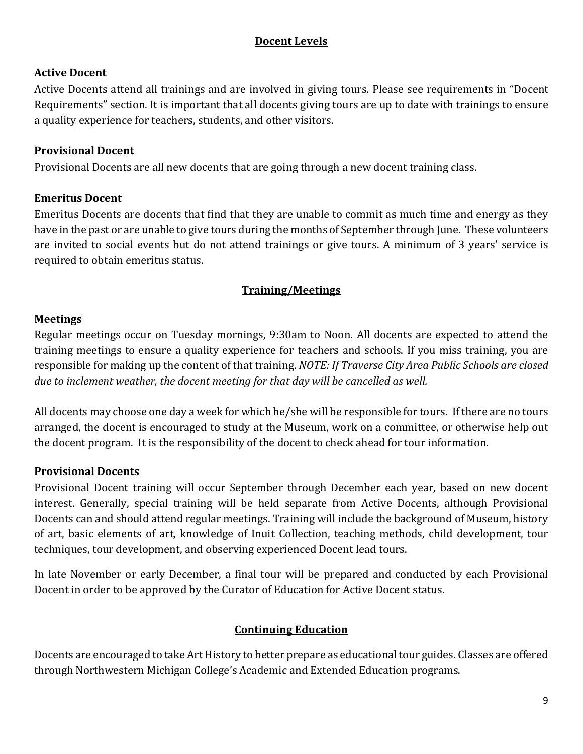## **Docent Levels**

## **Active Docent**

Active Docents attend all trainings and are involved in giving tours. Please see requirements in "Docent Requirements" section. It is important that all docents giving tours are up to date with trainings to ensure a quality experience for teachers, students, and other visitors.

## **Provisional Docent**

Provisional Docents are all new docents that are going through a new docent training class.

## **Emeritus Docent**

Emeritus Docents are docents that find that they are unable to commit as much time and energy as they have in the past or are unable to give tours during the months of September through June. These volunteers are invited to social events but do not attend trainings or give tours. A minimum of 3 years' service is required to obtain emeritus status.

## **Training/Meetings**

## **Meetings**

Regular meetings occur on Tuesday mornings, 9:30am to Noon. All docents are expected to attend the training meetings to ensure a quality experience for teachers and schools. If you miss training, you are responsible for making up the content of that training. *NOTE: If Traverse City Area Public Schools are closed due to inclement weather, the docent meeting for that day will be cancelled as well.*

All docents may choose one day a week for which he/she will be responsible for tours. If there are no tours arranged, the docent is encouraged to study at the Museum, work on a committee, or otherwise help out the docent program. It is the responsibility of the docent to check ahead for tour information.

## **Provisional Docents**

Provisional Docent training will occur September through December each year, based on new docent interest. Generally, special training will be held separate from Active Docents, although Provisional Docents can and should attend regular meetings. Training will include the background of Museum, history of art, basic elements of art, knowledge of Inuit Collection, teaching methods, child development, tour techniques, tour development, and observing experienced Docent lead tours.

In late November or early December, a final tour will be prepared and conducted by each Provisional Docent in order to be approved by the Curator of Education for Active Docent status.

## **Continuing Education**

<span id="page-8-0"></span>Docents are encouraged to take Art History to better prepare as educational tour guides. Classes are offered through Northwestern Michigan College's Academic and Extended Education programs.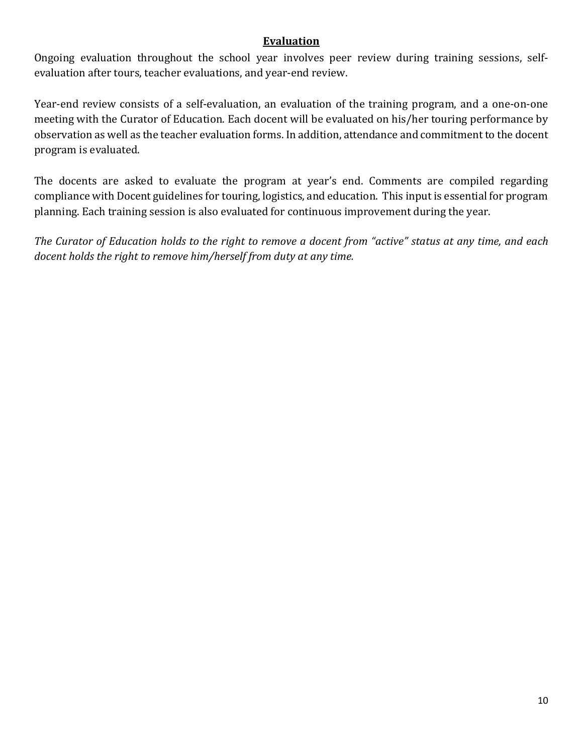#### **Evaluation**

Ongoing evaluation throughout the school year involves peer review during training sessions, selfevaluation after tours, teacher evaluations, and year-end review.

Year-end review consists of a self-evaluation, an evaluation of the training program, and a one-on-one meeting with the Curator of Education. Each docent will be evaluated on his/her touring performance by observation as well as the teacher evaluation forms. In addition, attendance and commitment to the docent program is evaluated.

The docents are asked to evaluate the program at year's end. Comments are compiled regarding compliance with Docent guidelines for touring, logistics, and education. This input is essential for program planning. Each training session is also evaluated for continuous improvement during the year.

*The Curator of Education holds to the right to remove a docent from "active" status at any time, and each docent holds the right to remove him/herself from duty at any time.*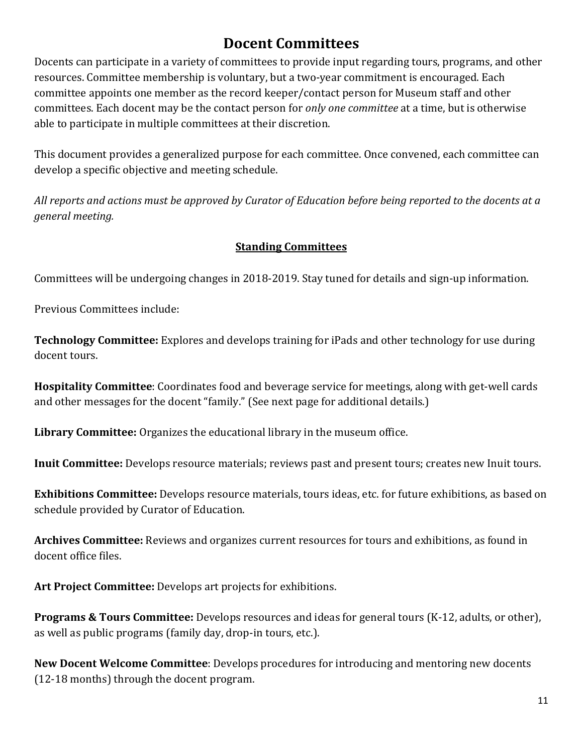# **Docent Committees**

<span id="page-10-0"></span>Docents can participate in a variety of committees to provide input regarding tours, programs, and other resources. Committee membership is voluntary, but a two-year commitment is encouraged. Each committee appoints one member as the record keeper/contact person for Museum staff and other committees. Each docent may be the contact person for *only one committee* at a time, but is otherwise able to participate in multiple committees at their discretion.

This document provides a generalized purpose for each committee. Once convened, each committee can develop a specific objective and meeting schedule.

*All reports and actions must be approved by Curator of Education before being reported to the docents at a general meeting.*

## **Standing Committees**

Committees will be undergoing changes in 2018-2019. Stay tuned for details and sign-up information.

Previous Committees include:

**Technology Committee:** Explores and develops training for iPads and other technology for use during docent tours.

**Hospitality Committee**: Coordinates food and beverage service for meetings, along with get-well cards and other messages for the docent "family." (See next page for additional details.)

**Library Committee:** Organizes the educational library in the museum office.

**Inuit Committee:** Develops resource materials; reviews past and present tours; creates new Inuit tours.

**Exhibitions Committee:** Develops resource materials, tours ideas, etc. for future exhibitions, as based on schedule provided by Curator of Education.

**Archives Committee:** Reviews and organizes current resources for tours and exhibitions, as found in docent office files.

**Art Project Committee:** Develops art projects for exhibitions.

**Programs & Tours Committee:** Develops resources and ideas for general tours (K-12, adults, or other), as well as public programs (family day, drop-in tours, etc.).

**New Docent Welcome Committee**: Develops procedures for introducing and mentoring new docents (12-18 months) through the docent program.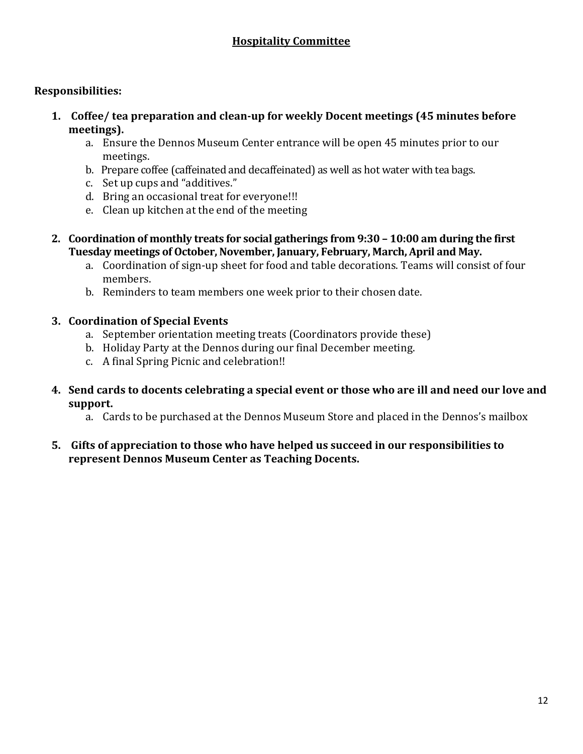## **Hospitality Committee**

#### **Responsibilities:**

- **1. Coffee/ tea preparation and clean-up for weekly Docent meetings (45 minutes before meetings).** 
	- a. Ensure the Dennos Museum Center entrance will be open 45 minutes prior to our meetings.
	- b. Prepare coffee (caffeinated and decaffeinated) as well as hot water with tea bags.
	- c. Set up cups and "additives."
	- d. Bring an occasional treat for everyone!!!
	- e. Clean up kitchen at the end of the meeting
- **2. Coordination of monthly treats for social gatherings from 9:30 – 10:00 am during the first Tuesday meetings of October, November, January, February, March, April and May.**
	- a. Coordination of sign-up sheet for food and table decorations. Teams will consist of four members.
	- b. Reminders to team members one week prior to their chosen date.

#### **3. Coordination of Special Events**

- a. September orientation meeting treats (Coordinators provide these)
- b. Holiday Party at the Dennos during our final December meeting.
- c. A final Spring Picnic and celebration!!
- **4. Send cards to docents celebrating a special event or those who are ill and need our love and support.**
	- a. Cards to be purchased at the Dennos Museum Store and placed in the Dennos's mailbox
- **5. Gifts of appreciation to those who have helped us succeed in our responsibilities to represent Dennos Museum Center as Teaching Docents.**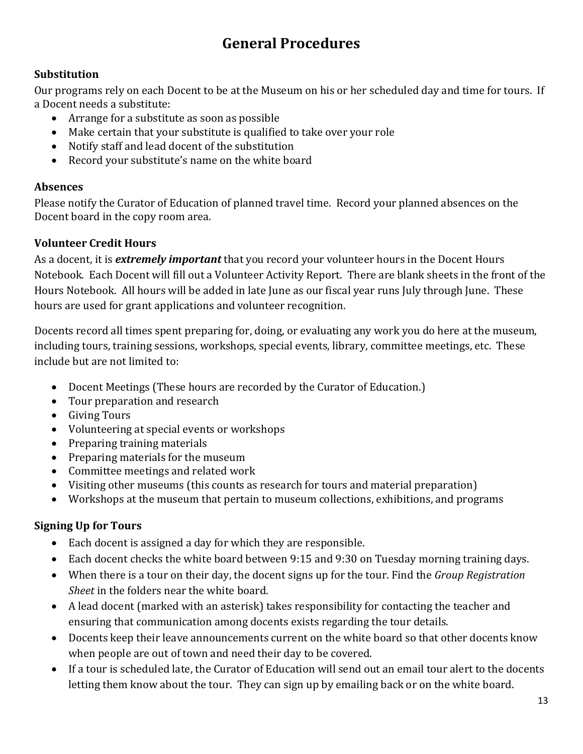# **General Procedures**

## <span id="page-12-1"></span><span id="page-12-0"></span>**Substitution**

Our programs rely on each Docent to be at the Museum on his or her scheduled day and time for tours. If a Docent needs a substitute:

- Arrange for a substitute as soon as possible
- Make certain that your substitute is qualified to take over your role
- Notify staff and lead docent of the substitution
- Record your substitute's name on the white board

## <span id="page-12-2"></span>**Absences**

Please notify the Curator of Education of planned travel time. Record your planned absences on the Docent board in the copy room area.

## <span id="page-12-3"></span>**Volunteer Credit Hours**

As a docent, it is *extremely important* that you record your volunteer hours in the Docent Hours Notebook. Each Docent will fill out a Volunteer Activity Report. There are blank sheets in the front of the Hours Notebook. All hours will be added in late June as our fiscal year runs July through June. These hours are used for grant applications and volunteer recognition.

Docents record all times spent preparing for, doing, or evaluating any work you do here at the museum, including tours, training sessions, workshops, special events, library, committee meetings, etc. These include but are not limited to:

- Docent Meetings (These hours are recorded by the Curator of Education.)
- Tour preparation and research
- Giving Tours
- Volunteering at special events or workshops
- Preparing training materials
- Preparing materials for the museum
- Committee meetings and related work
- Visiting other museums (this counts as research for tours and material preparation)
- Workshops at the museum that pertain to museum collections, exhibitions, and programs

## <span id="page-12-4"></span>**Signing Up for Tours**

- Each docent is assigned a day for which they are responsible.
- Each docent checks the white board between 9:15 and 9:30 on Tuesday morning training days.
- When there is a tour on their day, the docent signs up for the tour. Find the *Group Registration Sheet* in the folders near the white board.
- A lead docent (marked with an asterisk) takes responsibility for contacting the teacher and ensuring that communication among docents exists regarding the tour details.
- Docents keep their leave announcements current on the white board so that other docents know when people are out of town and need their day to be covered.
- If a tour is scheduled late, the Curator of Education will send out an email tour alert to the docents letting them know about the tour. They can sign up by emailing back or on the white board.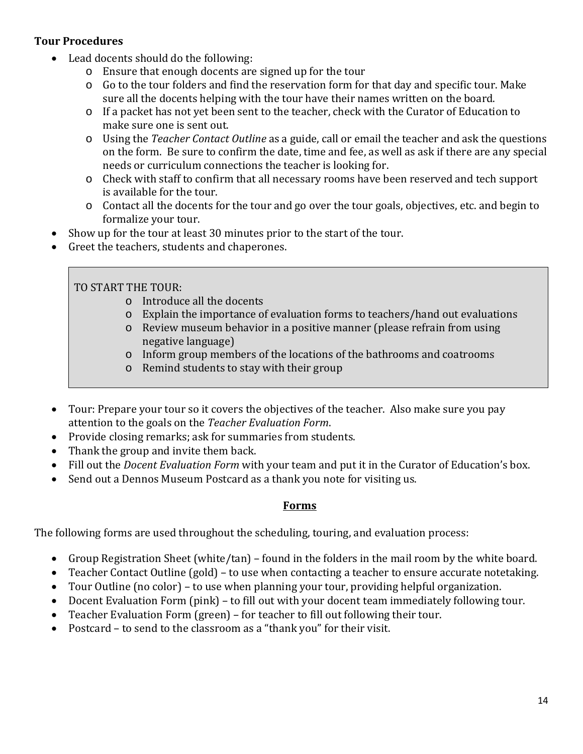## <span id="page-13-0"></span>**Tour Procedures**

- Lead docents should do the following:
	- o Ensure that enough docents are signed up for the tour
	- o Go to the tour folders and find the reservation form for that day and specific tour. Make sure all the docents helping with the tour have their names written on the board.
	- o If a packet has not yet been sent to the teacher, check with the Curator of Education to make sure one is sent out.
	- o Using the *Teacher Contact Outline* as a guide, call or email the teacher and ask the questions on the form. Be sure to confirm the date, time and fee, as well as ask if there are any special needs or curriculum connections the teacher is looking for.
	- o Check with staff to confirm that all necessary rooms have been reserved and tech support is available for the tour.
	- o Contact all the docents for the tour and go over the tour goals, objectives, etc. and begin to formalize your tour.
- Show up for the tour at least 30 minutes prior to the start of the tour.
- Greet the teachers, students and chaperones.

TO START THE TOUR:

- o Introduce all the docents
- o Explain the importance of evaluation forms to teachers/hand out evaluations
- o Review museum behavior in a positive manner (please refrain from using negative language)
- o Inform group members of the locations of the bathrooms and coatrooms
- o Remind students to stay with their group
- Tour: Prepare your tour so it covers the objectives of the teacher. Also make sure you pay attention to the goals on the *Teacher Evaluation Form*.
- Provide closing remarks; ask for summaries from students.
- Thank the group and invite them back.
- Fill out the *Docent Evaluation Form* with your team and put it in the Curator of Education's box.
- Send out a Dennos Museum Postcard as a thank you note for visiting us.

## <span id="page-13-1"></span>**Forms**

The following forms are used throughout the scheduling, touring, and evaluation process:

- Group Registration Sheet (white/tan) found in the folders in the mail room by the white board.
- Teacher Contact Outline (gold) to use when contacting a teacher to ensure accurate notetaking.
- Tour Outline (no color) to use when planning your tour, providing helpful organization.
- Docent Evaluation Form (pink) to fill out with your docent team immediately following tour.
- Teacher Evaluation Form (green) for teacher to fill out following their tour.
- Postcard to send to the classroom as a "thank you" for their visit.